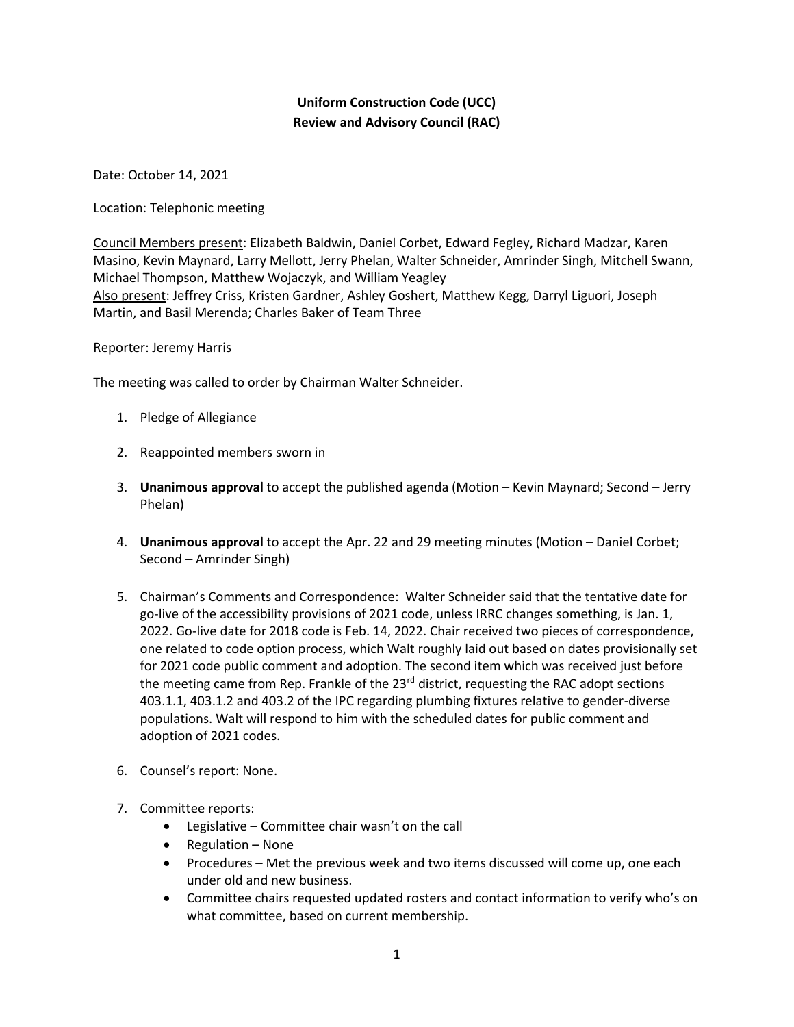## **Uniform Construction Code (UCC) Review and Advisory Council (RAC)**

Date: October 14, 2021

Location: Telephonic meeting

Council Members present: Elizabeth Baldwin, Daniel Corbet, Edward Fegley, Richard Madzar, Karen Masino, Kevin Maynard, Larry Mellott, Jerry Phelan, Walter Schneider, Amrinder Singh, Mitchell Swann, Michael Thompson, Matthew Wojaczyk, and William Yeagley Also present: Jeffrey Criss, Kristen Gardner, Ashley Goshert, Matthew Kegg, Darryl Liguori, Joseph Martin, and Basil Merenda; Charles Baker of Team Three

Reporter: Jeremy Harris

The meeting was called to order by Chairman Walter Schneider.

- 1. Pledge of Allegiance
- 2. Reappointed members sworn in
- 3. **Unanimous approval** to accept the published agenda (Motion Kevin Maynard; Second Jerry Phelan)
- 4. **Unanimous approval** to accept the Apr. 22 and 29 meeting minutes (Motion Daniel Corbet; Second – Amrinder Singh)
- 5. Chairman's Comments and Correspondence: Walter Schneider said that the tentative date for go-live of the accessibility provisions of 2021 code, unless IRRC changes something, is Jan. 1, 2022. Go-live date for 2018 code is Feb. 14, 2022. Chair received two pieces of correspondence, one related to code option process, which Walt roughly laid out based on dates provisionally set for 2021 code public comment and adoption. The second item which was received just before the meeting came from Rep. Frankle of the 23<sup>rd</sup> district, requesting the RAC adopt sections 403.1.1, 403.1.2 and 403.2 of the IPC regarding plumbing fixtures relative to gender-diverse populations. Walt will respond to him with the scheduled dates for public comment and adoption of 2021 codes.
- 6. Counsel's report: None.
- 7. Committee reports:
	- Legislative Committee chair wasn't on the call
	- Regulation None
	- Procedures Met the previous week and two items discussed will come up, one each under old and new business.
	- Committee chairs requested updated rosters and contact information to verify who's on what committee, based on current membership.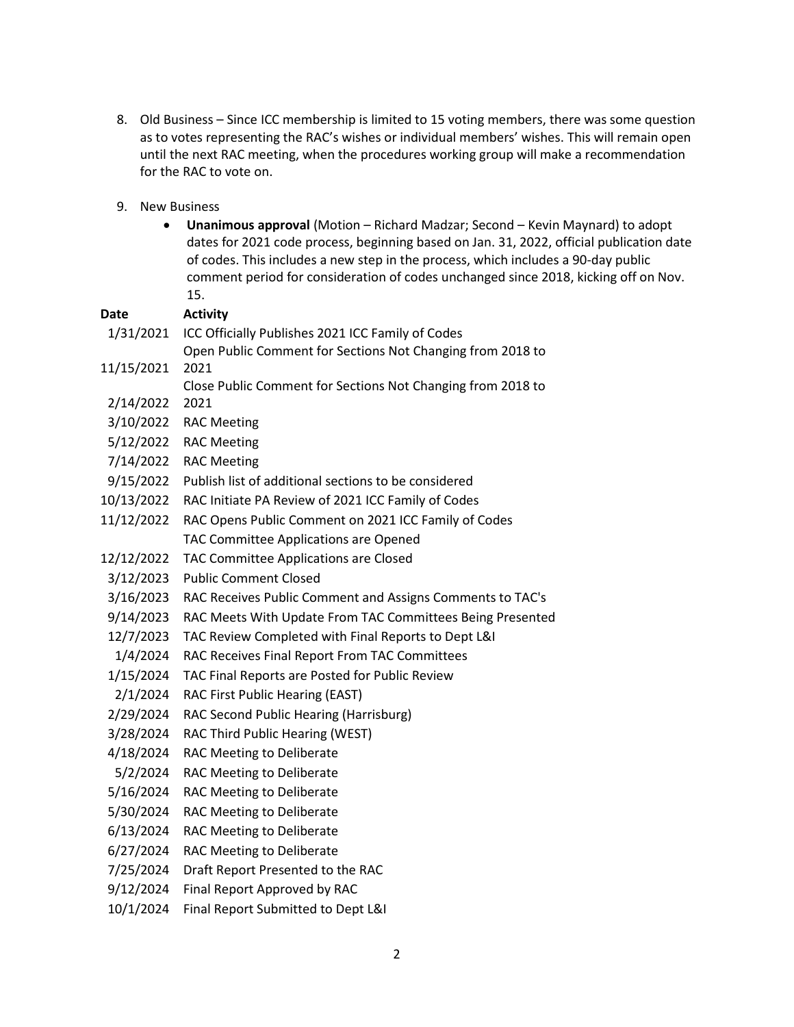- 8. Old Business Since ICC membership is limited to 15 voting members, there was some question as to votes representing the RAC's wishes or individual members' wishes. This will remain open until the next RAC meeting, when the procedures working group will make a recommendation for the RAC to vote on.
- 9. New Business
	- **Unanimous approval** (Motion Richard Madzar; Second Kevin Maynard) to adopt dates for 2021 code process, beginning based on Jan. 31, 2022, official publication date of codes. This includes a new step in the process, which includes a 90-day public comment period for consideration of codes unchanged since 2018, kicking off on Nov. 15.

|             | 15.                                                         |
|-------------|-------------------------------------------------------------|
| <b>Date</b> | <b>Activity</b>                                             |
| 1/31/2021   | ICC Officially Publishes 2021 ICC Family of Codes           |
|             | Open Public Comment for Sections Not Changing from 2018 to  |
| 11/15/2021  | 2021                                                        |
|             | Close Public Comment for Sections Not Changing from 2018 to |
| 2/14/2022   | 2021                                                        |
| 3/10/2022   | <b>RAC Meeting</b>                                          |
| 5/12/2022   | <b>RAC Meeting</b>                                          |
| 7/14/2022   | <b>RAC Meeting</b>                                          |
| 9/15/2022   | Publish list of additional sections to be considered        |
| 10/13/2022  | RAC Initiate PA Review of 2021 ICC Family of Codes          |
| 11/12/2022  | RAC Opens Public Comment on 2021 ICC Family of Codes        |
|             | TAC Committee Applications are Opened                       |
| 12/12/2022  | TAC Committee Applications are Closed                       |
| 3/12/2023   | <b>Public Comment Closed</b>                                |
| 3/16/2023   | RAC Receives Public Comment and Assigns Comments to TAC's   |
| 9/14/2023   | RAC Meets With Update From TAC Committees Being Presented   |
| 12/7/2023   | TAC Review Completed with Final Reports to Dept L&I         |
| 1/4/2024    | RAC Receives Final Report From TAC Committees               |
| 1/15/2024   | TAC Final Reports are Posted for Public Review              |
| 2/1/2024    | RAC First Public Hearing (EAST)                             |
| 2/29/2024   | RAC Second Public Hearing (Harrisburg)                      |
| 3/28/2024   | RAC Third Public Hearing (WEST)                             |
| 4/18/2024   | RAC Meeting to Deliberate                                   |
| 5/2/2024    | RAC Meeting to Deliberate                                   |
| 5/16/2024   | RAC Meeting to Deliberate                                   |
| 5/30/2024   | RAC Meeting to Deliberate                                   |
| 6/13/2024   | RAC Meeting to Deliberate                                   |
| 6/27/2024   | RAC Meeting to Deliberate                                   |
| 7/25/2024   | Draft Report Presented to the RAC                           |
| 9/12/2024   | Final Report Approved by RAC                                |
| 10/1/2024   | Final Report Submitted to Dept L&I                          |